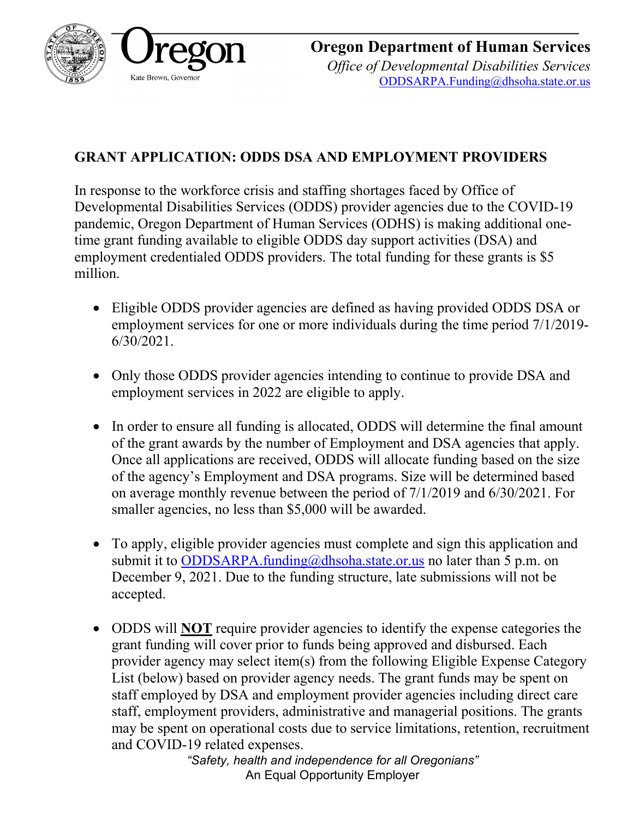

**Oregon Department of Human Services** *Office of Developmental Disabilities Services* [ODDSARPA.Funding@dhsoha.state.or.us](mailto:ODDSARPA.Funding@dhsoha.state.or.us)

## **GRANT APPLICATION: ODDS DSA AND EMPLOYMENT PROVIDERS**

In response to the workforce crisis and staffing shortages faced by Office of Developmental Disabilities Services (ODDS) provider agencies due to the COVID-19 pandemic, Oregon Department of Human Services (ODHS) is making additional onetime grant funding available to eligible ODDS day support activities (DSA) and employment credentialed ODDS providers. The total funding for these grants is \$5 million.

- Eligible ODDS provider agencies are defined as having provided ODDS DSA or employment services for one or more individuals during the time period 7/1/2019- 6/30/2021.
- Only those ODDS provider agencies intending to continue to provide DSA and employment services in 2022 are eligible to apply.
- In order to ensure all funding is allocated, ODDS will determine the final amount of the grant awards by the number of Employment and DSA agencies that apply. Once all applications are received, ODDS will allocate funding based on the size of the agency's Employment and DSA programs. Size will be determined based on average monthly revenue between the period of 7/1/2019 and 6/30/2021. For smaller agencies, no less than \$5,000 will be awarded.
- To apply, eligible provider agencies must complete and sign this application and submit it to [ODDSARPA.funding@dhsoha.state.or.us](mailto:ODDSARPA.funding@dhsoha.state.or.us) no later than 5 p.m. on December 9, 2021. Due to the funding structure, late submissions will not be accepted.
- ODDS will **NOT** require provider agencies to identify the expense categories the grant funding will cover prior to funds being approved and disbursed. Each provider agency may select item(s) from the following Eligible Expense Category List (below) based on provider agency needs. The grant funds may be spent on staff employed by DSA and employment provider agencies including direct care staff, employment providers, administrative and managerial positions. The grants may be spent on operational costs due to service limitations, retention, recruitment and COVID-19 related expenses.

*"Safety, health and independence for all Oregonians"* An Equal Opportunity Employer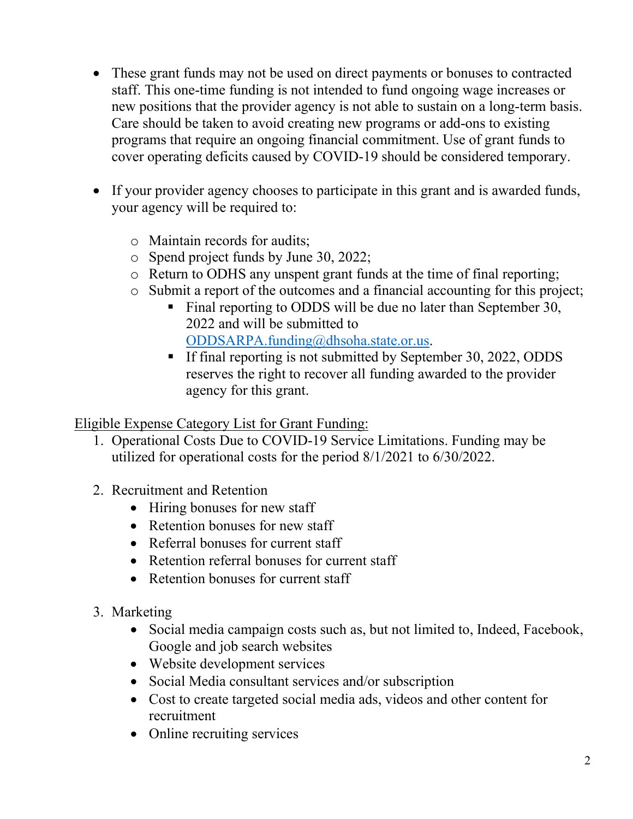- These grant funds may not be used on direct payments or bonuses to contracted staff. This one-time funding is not intended to fund ongoing wage increases or new positions that the provider agency is not able to sustain on a long-term basis. Care should be taken to avoid creating new programs or add-ons to existing programs that require an ongoing financial commitment. Use of grant funds to cover operating deficits caused by COVID-19 should be considered temporary.
- If your provider agency chooses to participate in this grant and is awarded funds, your agency will be required to:
	- o Maintain records for audits;
	- o Spend project funds by June 30, 2022;
	- o Return to ODHS any unspent grant funds at the time of final reporting;
	- o Submit a report of the outcomes and a financial accounting for this project;
		- Final reporting to ODDS will be due no later than September 30, 2022 and will be submitted to [ODDSARPA.funding@dhsoha.state.or.us.](mailto:ODDSARPA.funding@dhsoha.state.or.us)
		- If final reporting is not submitted by September 30, 2022, ODDS reserves the right to recover all funding awarded to the provider agency for this grant.

Eligible Expense Category List for Grant Funding:

- 1. Operational Costs Due to COVID-19 Service Limitations. Funding may be utilized for operational costs for the period 8/1/2021 to 6/30/2022.
- 2. Recruitment and Retention
	- Hiring bonuses for new staff
	- Retention bonuses for new staff
	- Referral bonuses for current staff
	- Retention referral bonuses for current staff
	- Retention bonuses for current staff
- 3. Marketing
	- Social media campaign costs such as, but not limited to, Indeed, Facebook, Google and job search websites
	- Website development services
	- Social Media consultant services and/or subscription
	- Cost to create targeted social media ads, videos and other content for recruitment
	- Online recruiting services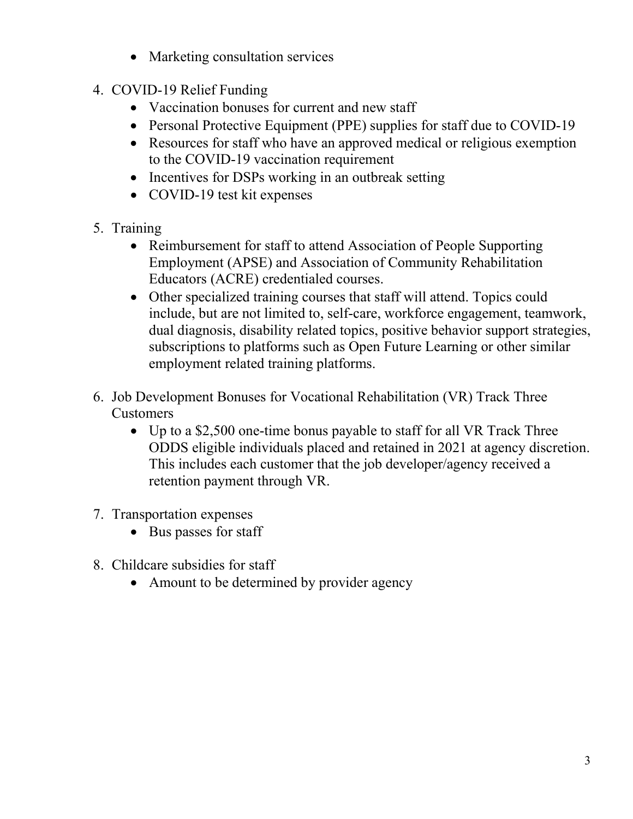- Marketing consultation services
- 4. COVID-19 Relief Funding
	- Vaccination bonuses for current and new staff
	- Personal Protective Equipment (PPE) supplies for staff due to COVID-19
	- Resources for staff who have an approved medical or religious exemption to the COVID-19 vaccination requirement
	- Incentives for DSPs working in an outbreak setting
	- COVID-19 test kit expenses
- 5. Training
	- Reimbursement for staff to attend Association of People Supporting Employment (APSE) and Association of Community Rehabilitation Educators (ACRE) credentialed courses.
	- Other specialized training courses that staff will attend. Topics could include, but are not limited to, self-care, workforce engagement, teamwork, dual diagnosis, disability related topics, positive behavior support strategies, subscriptions to platforms such as Open Future Learning or other similar employment related training platforms.
- 6. Job Development Bonuses for Vocational Rehabilitation (VR) Track Three Customers
	- Up to a \$2,500 one-time bonus payable to staff for all VR Track Three ODDS eligible individuals placed and retained in 2021 at agency discretion. This includes each customer that the job developer/agency received a retention payment through VR.
- 7. Transportation expenses
	- Bus passes for staff
- 8. Childcare subsidies for staff
	- Amount to be determined by provider agency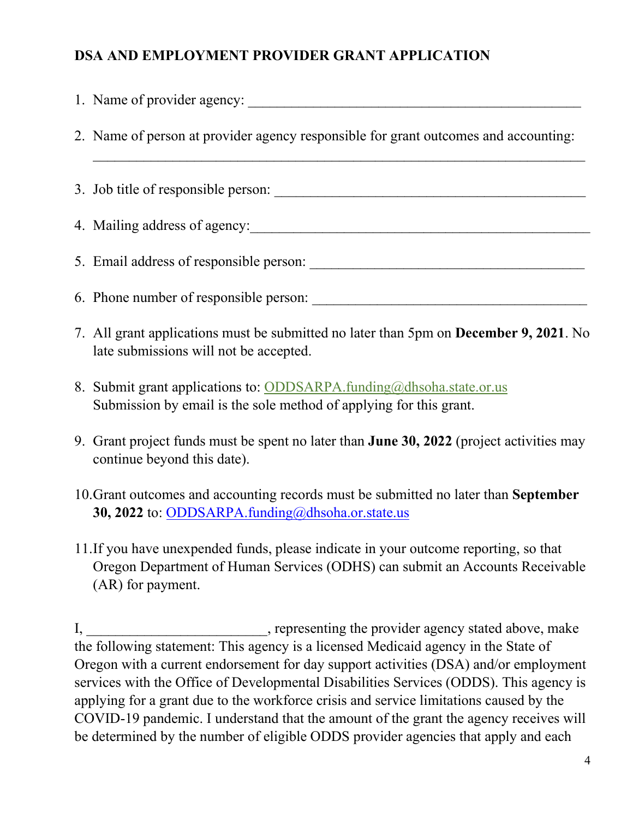## **DSA AND EMPLOYMENT PROVIDER GRANT APPLICATION**

|                                                                                                                                         | 1. Name of provider agency:                                                                                                                |  |
|-----------------------------------------------------------------------------------------------------------------------------------------|--------------------------------------------------------------------------------------------------------------------------------------------|--|
|                                                                                                                                         | 2. Name of person at provider agency responsible for grant outcomes and accounting:                                                        |  |
|                                                                                                                                         |                                                                                                                                            |  |
|                                                                                                                                         |                                                                                                                                            |  |
|                                                                                                                                         |                                                                                                                                            |  |
|                                                                                                                                         |                                                                                                                                            |  |
|                                                                                                                                         | 7. All grant applications must be submitted no later than 5pm on December 9, 2021. No<br>late submissions will not be accepted.            |  |
|                                                                                                                                         | 8. Submit grant applications to: ODDSARPA.funding@dhsoha.state.or.us<br>Submission by email is the sole method of applying for this grant. |  |
|                                                                                                                                         | 9. Grant project funds must be spent no later than <b>June 30, 2022</b> (project activities may<br>continue beyond this date).             |  |
| 10. Grant outcomes and accounting records must be submitted no later than September<br>30, 2022 to: ODDSARPA.funding@dhsoha.or.state.us |                                                                                                                                            |  |

11.If you have unexpended funds, please indicate in your outcome reporting, so that Oregon Department of Human Services (ODHS) can submit an Accounts Receivable (AR) for payment.

I, \_\_\_\_\_\_\_\_\_\_\_\_\_\_\_\_\_\_\_\_\_\_\_, representing the provider agency stated above, make the following statement: This agency is a licensed Medicaid agency in the State of Oregon with a current endorsement for day support activities (DSA) and/or employment services with the Office of Developmental Disabilities Services (ODDS). This agency is applying for a grant due to the workforce crisis and service limitations caused by the COVID-19 pandemic. I understand that the amount of the grant the agency receives will be determined by the number of eligible ODDS provider agencies that apply and each